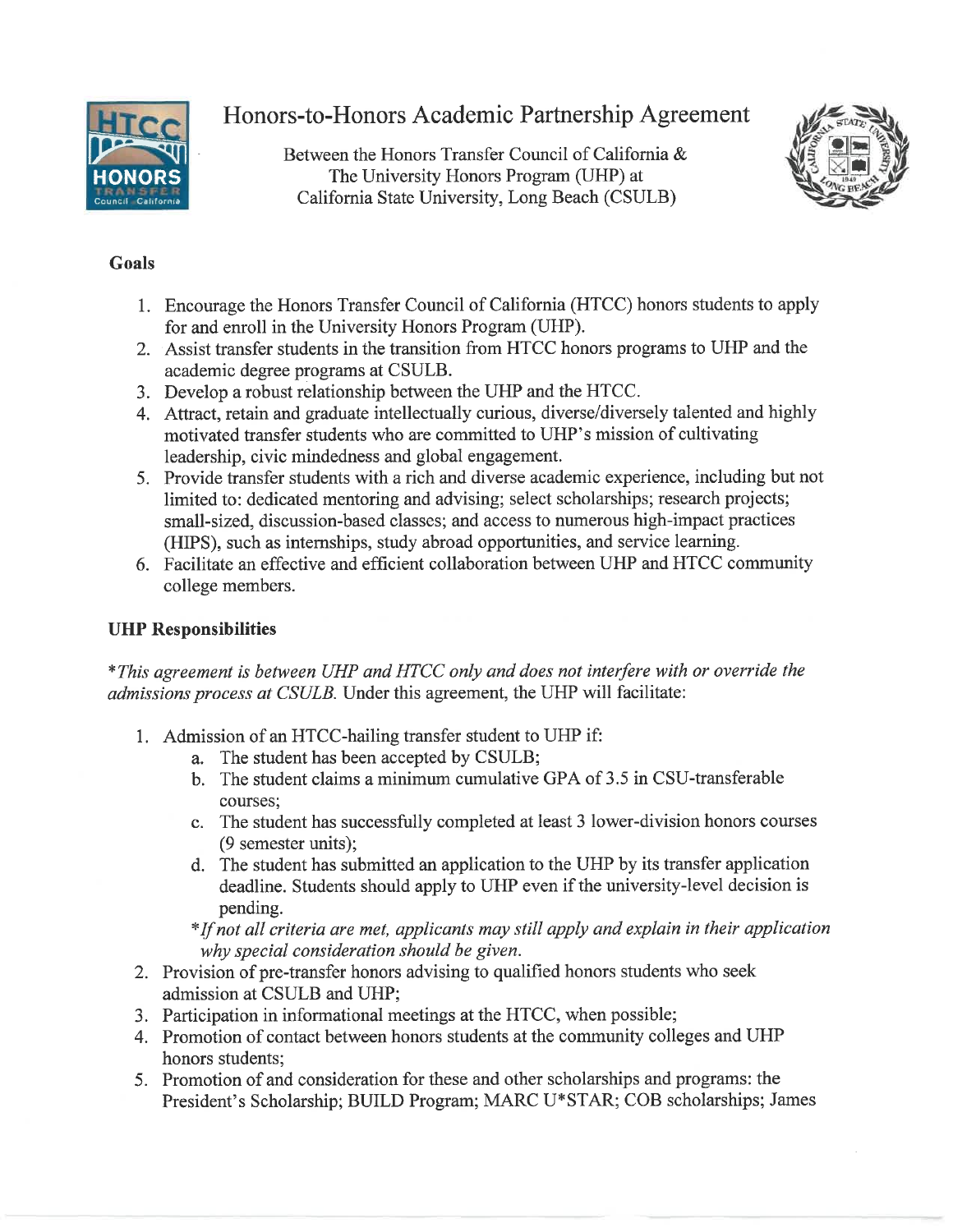

Honors-to-Honors Academic Partnership Agreement

Between the Honors Transfer Council of California & The University Honors Program (UHP) at California State University, Long Beach (CSULB)



# **Goals**

- 1. Encourage the Honors Transfer Council of California (HTCC) honors students to apply for and enroll in the University Honors Program (UHP).
- 2. Assist transfer students in the transition from HTCC honors programs to UHP and the academic degree programs at CSULB.
- 3. Develop a robust relationship between the UHP and the HTCC.
- 4. Attract, retain and graduate intellectually curious, diverse/diversely talented and highly motivated transfer students who are committed to UHP's mission of cultivating leadership, civic mindedness and global engagement.
- 5. Provide transfer students with a rich and diverse academic experience, including but not limited to: dedicated mentoring and advising; select scholarships; research projects; small-sized, discussion-based classes; and access to numerous high-impact practices (HIPS), such as internships, study abroad opportunities, and service learning.
- 6. Facilitate an effective and efficient collaboration between UHP and HTCC community college members.

# **UHP Responsibilities**

\*This agreement is between UHP and HTCC only and does not interfere with or override the admissions process at CSULB. Under this agreement, the UHP will facilitate:

- 1. Admission of an HTCC-hailing transfer student to UHP if:
	- a. The student has been accepted by CSULB;
	- b. The student claims a minimum cumulative GPA of 3.5 in CSU-transferable courses:
	- c. The student has successfully completed at least 3 lower-division honors courses (9 semester units):
	- d. The student has submitted an application to the UHP by its transfer application deadline. Students should apply to UHP even if the university-level decision is pending.

\*If not all criteria are met, applicants may still apply and explain in their application why special consideration should be given.

- 2. Provision of pre-transfer honors advising to qualified honors students who seek admission at CSULB and UHP;
- 3. Participation in informational meetings at the HTCC, when possible;
- 4. Promotion of contact between honors students at the community colleges and UHP honors students:
- 5. Promotion of and consideration for these and other scholarships and programs: the President's Scholarship; BUILD Program; MARC U\*STAR; COB scholarships; James